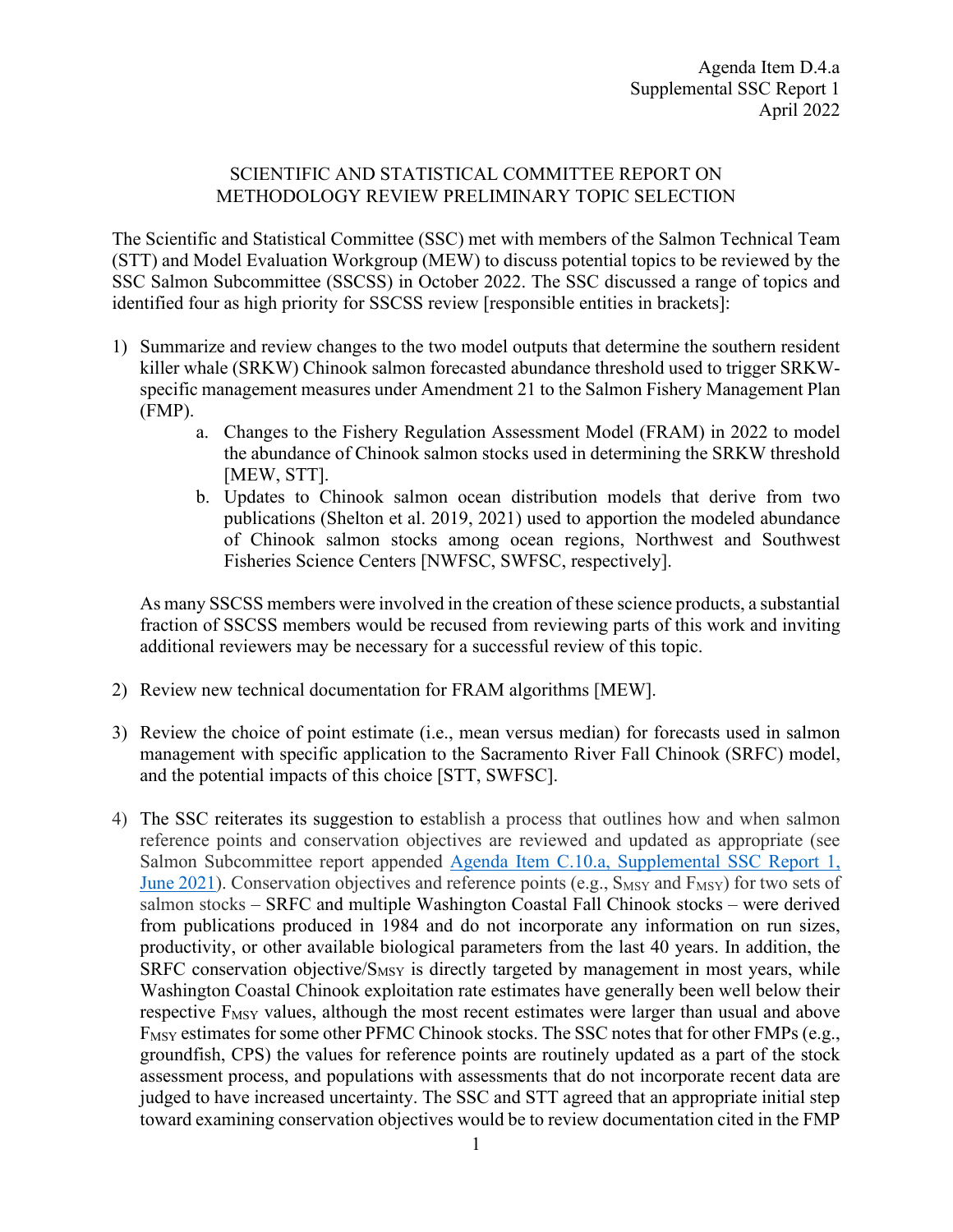## SCIENTIFIC AND STATISTICAL COMMITTEE REPORT ON METHODOLOGY REVIEW PRELIMINARY TOPIC SELECTION

The Scientific and Statistical Committee (SSC) met with members of the Salmon Technical Team (STT) and Model Evaluation Workgroup (MEW) to discuss potential topics to be reviewed by the SSC Salmon Subcommittee (SSCSS) in October 2022. The SSC discussed a range of topics and identified four as high priority for SSCSS review [responsible entities in brackets]:

- 1) Summarize and review changes to the two model outputs that determine the southern resident killer whale (SRKW) Chinook salmon forecasted abundance threshold used to trigger SRKWspecific management measures under Amendment 21 to the Salmon Fishery Management Plan (FMP).
	- a. Changes to the Fishery Regulation Assessment Model (FRAM) in 2022 to model the abundance of Chinook salmon stocks used in determining the SRKW threshold [MEW, STT].
	- b. Updates to Chinook salmon ocean distribution models that derive from two publications (Shelton et al. 2019, 2021) used to apportion the modeled abundance of Chinook salmon stocks among ocean regions, Northwest and Southwest Fisheries Science Centers [NWFSC, SWFSC, respectively].

As many SSCSS members were involved in the creation of these science products, a substantial fraction of SSCSS members would be recused from reviewing parts of this work and inviting additional reviewers may be necessary for a successful review of this topic.

- 2) Review new technical documentation for FRAM algorithms [MEW].
- 3) Review the choice of point estimate (i.e., mean versus median) for forecasts used in salmon management with specific application to the Sacramento River Fall Chinook (SRFC) model, and the potential impacts of this choice [STT, SWFSC].
- 4) The SSC reiterates its suggestion to establish a process that outlines how and when salmon reference points and conservation objectives are reviewed and updated as appropriate (see Salmon Subcommittee report appended [Agenda Item C.10.a, Supplemental SSC Report 1,](https://www.pcouncil.org/documents/2021/06/c-10-a-supplemental-ssc-report-1.pdf/)  [June 2021\)](https://www.pcouncil.org/documents/2021/06/c-10-a-supplemental-ssc-report-1.pdf/). Conservation objectives and reference points (e.g.,  $S_{MSY}$  and  $F_{MSY}$ ) for two sets of salmon stocks – SRFC and multiple Washington Coastal Fall Chinook stocks – were derived from publications produced in 1984 and do not incorporate any information on run sizes, productivity, or other available biological parameters from the last 40 years. In addition, the SRFC conservation objective/ $S_{MSY}$  is directly targeted by management in most years, while Washington Coastal Chinook exploitation rate estimates have generally been well below their respective  $F_{MSY}$  values, although the most recent estimates were larger than usual and above F<sub>MSY</sub> estimates for some other PFMC Chinook stocks. The SSC notes that for other FMPs (e.g., groundfish, CPS) the values for reference points are routinely updated as a part of the stock assessment process, and populations with assessments that do not incorporate recent data are judged to have increased uncertainty. The SSC and STT agreed that an appropriate initial step toward examining conservation objectives would be to review documentation cited in the FMP